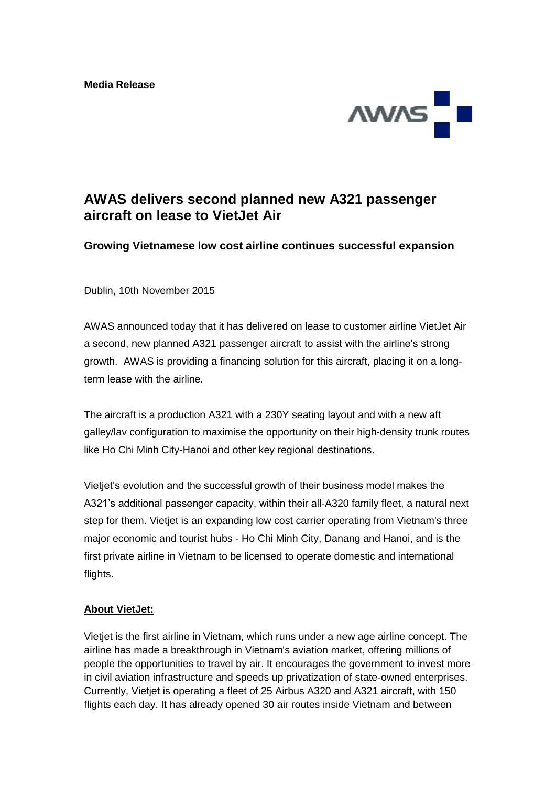

## **AWAS delivers second planned new A321 passenger aircraft on lease to VietJet Air**

**Growing Vietnamese low cost airline continues successful expansion**

Dublin, 10th November 2015

AWAS announced today that it has delivered on lease to customer airline VietJet Air a second, new planned A321 passenger aircraft to assist with the airline's strong growth. AWAS is providing a financing solution for this aircraft, placing it on a longterm lease with the airline.

The aircraft is a production A321 with a 230Y seating layout and with a new aft galley/lav configuration to maximise the opportunity on their high-density trunk routes like Ho Chi Minh City-Hanoi and other key regional destinations.

Vietjet's evolution and the successful growth of their business model makes the A321's additional passenger capacity, within their all-A320 family fleet, a natural next step for them. Vietjet is an expanding low cost carrier operating from Vietnam's three major economic and tourist hubs - Ho Chi Minh City, Danang and Hanoi, and is the first private airline in Vietnam to be licensed to operate domestic and international flights.

## **About VietJet:**

Vietjet is the first airline in Vietnam, which runs under a new age airline concept. The airline has made a breakthrough in Vietnam's aviation market, offering millions of people the opportunities to travel by air. It encourages the government to invest more in civil aviation infrastructure and speeds up privatization of state-owned enterprises. Currently, Vietjet is operating a fleet of 25 Airbus A320 and A321 aircraft, with 150 flights each day. It has already opened 30 air routes inside Vietnam and between